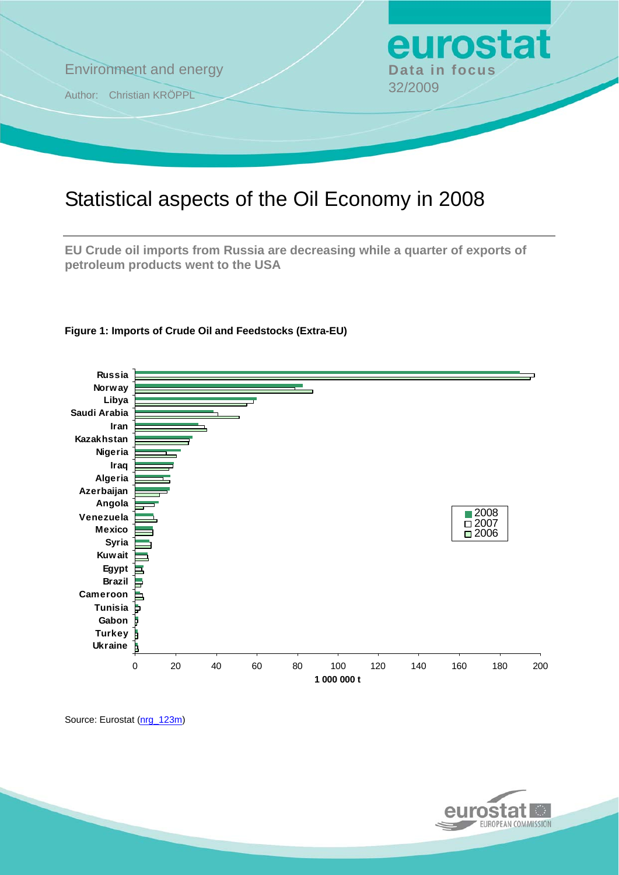

# Statistical aspects of the Oil Economy in 2008

**EU Crude oil imports from Russia are decreasing while a quarter of exports of petroleum products went to the USA** 



### **Figure 1: Imports of Crude Oil and Feedstocks (Extra-EU)**

Source: Eurostat ([nrg\\_123m](http://nui.epp.eurostat.ec.europa.eu/nui/show.do?dataset=nrg_123m&lang=en))

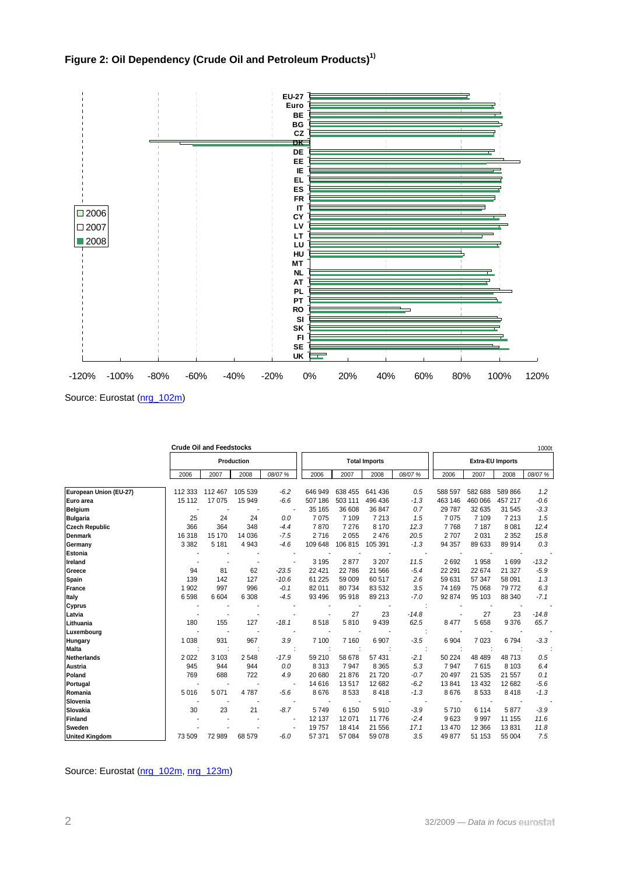



**Crude Oil and Feedstocks** 1000th 1000th 1000th 1000th 1000th 1000th 1000th 1000th 1000th 1000th 1000th 1000th 1000th 1000th 1000th 1000th 1000th 1000th 1000th 1000th 1000th 1000th 1000th 1000th 1000th 1000th 1000th 1000th 2006 2007 2008 *08/07 %* 2006 2007 2008 *08/07 %* 2006 2007 2008 *08/07 %* **European Union (EU-27)** 112 333 112 467 105 539 *-6.2* 646 949 638 455 641 436 *0.5* 588 597 582 688 589 866 *1.2*  **Euro area** 15 112 17 075 15 949 *-6.6* 507 186 503 111 496 436 *-1.3* 463 146 460 066 457 217 *-0.6*  **Belgium** - - - - 35 165 36 608 36 847 *0.7* 29 787 32 635 31 545 *-3.3*  **Bulgaria** 25 24 24 *0.0* 7 075 7 109 7 213 *1.5* 7 075 7 109 7 213 *1.5*  **Czech Republic** 366 364 348 *-4.4* 7 870 7 276 8 170 *12.3* 7 768 7 187 8 081 *12.4*  **Denmark** 16 318 15 170 14 036 *-7.5* 2 716 2 055 2 476 *20.5* 2 707 2 031 2 352 *15.8*  **Germany** 3 382 5 181 4 943 *-4.6* 109 648 106 815 105 391 *-1.3* 94 357 89 633 89 914 *0.3*  **Estonia** --- - --- - ---- **Ireland** - - - - 3 195 2 877 3 207 *11.5* 2 692 1 958 1 699 *-13.2*  **Greece** 94 81 62 *-23.5* 22 421 22 786 21 566 *-5.4* 22 291 22 674 21 327 *-5.9*  **Spain** 139 142 127 *-10.6* 61 225 59 009 60 517 *2.6* 59 631 57 347 58 091 *1.3*  **France** 1 902 997 996 *-0.1* 82 011 80 734 83 532 *3.5* 74 169 75 068 79 772 *6.3*  **Italy** 6 598 6 604 6 308 *-4.5* 93 496 95 918 89 213 *-7.0* 92 874 95 103 88 340 *-7.1*  **Cyprus** --- - --- : ---- **Latvia** - - - - - 27 23 *-14.8* - 27 23 *-14.8*  **Lithuania** 180 155 127 *-18.1* 8 518 5 810 9 439 *62.5* 8 477 5 658 9 376 *65.7*  **Luxembourg** --- - --- : ---- **Hungary** 1 038 931 967 *3.9* 7 100 7 160 6 907 *-3.5* 6 904 7 023 6 794 *-3.3*  **Malta** ::: : ::: : :::: **Netherlands** 2 022 3 103 2 548 *-17.9* 59 210 58 678 57 431 *-2.1* 50 224 48 489 48 713 *0.5*  **Austria** 945 944 944 *0.0* 8 313 7 947 8 365 *5.3* 7 947 7 615 8 103 *6.4*  **Poland** 769 688 722 *4.9* 20 680 21 876 21 720 *-0.7* 20 497 21 535 21 557 *0.1*  **Portugal** - - - - 14 616 13 517 12 682 *-6.2* 13 841 13 432 12 682 *-5.6*  **Romania** 5 016 5 071 4 787 *-5.6* 8 676 8 533 8 418 *-1.3* 8 676 8 533 8 418 *-1.3*  **Slovenia** --- - --- - ---- **Slovakia** 30 23 21 *-8.7* 5 749 6 150 5 910 *-3.9* 5 710 6 114 5 877 *-3.9*  **Finland** - - - - 12 137 12 071 11 776 *-2.4* 9 623 9 997 11 155 *11.6*  **Sweden** - - - - 19 757 18 414 21 556 *17.1* 13 470 12 366 13 831 *11.8*  **United Kingdom** 73 509 72 989 68 579 *-6.0* 57 371 57 084 59 078 *3.5* 49 877 51 153 55 004 *7.5*  **Production All Production Total Imports Extra-EU Imports** 

Source: Eurostat ([nrg\\_102m](http://nui.epp.eurostat.ec.europa.eu/nui/show.do?dataset=nrg_102m&lang=en), [nrg\\_123m\)](http://nui.epp.eurostat.ec.europa.eu/nui/show.do?dataset=nrg_123m&lang=en)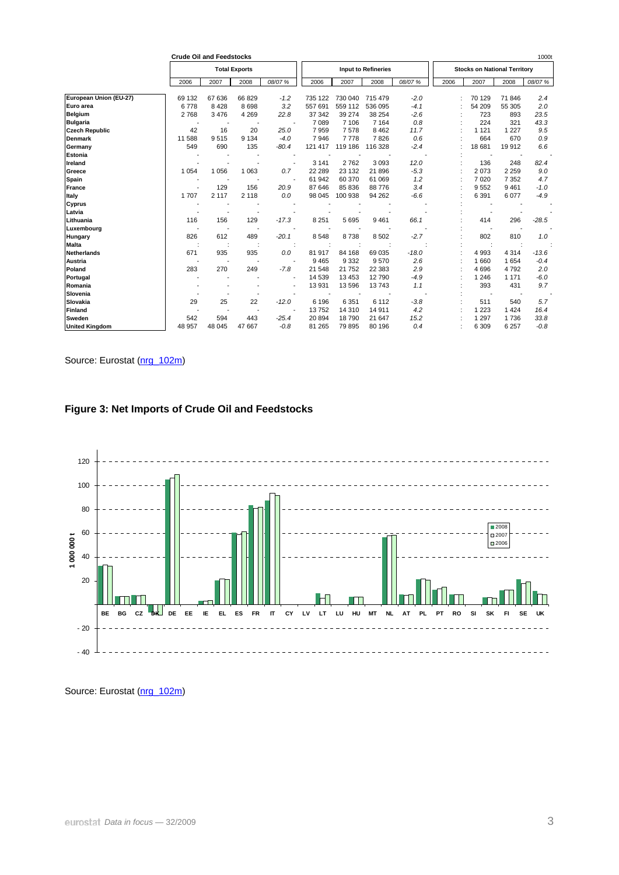|                        | <b>Crude Oil and Feedstocks</b> |         |                          |                          |         |         |                            |         |                                     |         |         | 1000t   |  |
|------------------------|---------------------------------|---------|--------------------------|--------------------------|---------|---------|----------------------------|---------|-------------------------------------|---------|---------|---------|--|
|                        |                                 |         | <b>Total Exports</b>     |                          |         |         | <b>Input to Refineries</b> |         | <b>Stocks on National Territory</b> |         |         |         |  |
|                        | 2006                            | 2007    | 2008                     | 08/07 %                  | 2006    | 2007    | 2008                       | 08/07 % | 2006                                | 2007    | 2008    | 08/07 % |  |
| European Union (EU-27) | 69 132                          | 67 636  | 66 829                   | $-1.2$                   | 735 122 | 730 040 | 715 479                    | $-2.0$  |                                     | 70 129  | 71 846  | 2.4     |  |
| Euro area              | 6778                            | 8428    | 8698                     | 3.2                      | 557 691 | 559 112 | 536 095                    | $-4.1$  |                                     | 54 209  | 55 305  | 2.0     |  |
| <b>Belgium</b>         | 2768                            | 3 4 7 6 | 4 2 6 9                  | 22.8                     | 37 342  | 39 274  | 38 254                     | $-2.6$  |                                     | 723     | 893     | 23.5    |  |
| <b>Bulgaria</b>        | $\overline{\phantom{a}}$        |         |                          |                          | 7 0 8 9 | 7 10 6  | 7 1 6 4                    | 0.8     |                                     | 224     | 321     | 43.3    |  |
| <b>Czech Republic</b>  | 42                              | 16      | 20                       | 25.0                     | 7959    | 7578    | 8 4 6 2                    | 11.7    |                                     | 1 1 2 1 | 1 2 2 7 | 9.5     |  |
| <b>Denmark</b>         | 11 588                          | 9515    | 9 1 3 4                  | $-4.0$                   | 7946    | 7778    | 7826                       | 0.6     |                                     | 664     | 670     | 0.9     |  |
| Germany                | 549                             | 690     | 135                      | $-80.4$                  | 121 417 | 119 186 | 116 328                    | $-2.4$  |                                     | 18 681  | 19912   | 6.6     |  |
| <b>Estonia</b>         |                                 |         |                          |                          |         |         |                            |         |                                     |         |         |         |  |
| Ireland                |                                 |         |                          |                          | 3 1 4 1 | 2762    | 3093                       | 12.0    |                                     | 136     | 248     | 82.4    |  |
| Greece                 | 1 0 5 4                         | 1 0 5 6 | 1 0 6 3                  | 0.7                      | 22 289  | 23 132  | 21896                      | $-5.3$  |                                     | 2073    | 2 2 5 9 | 9.0     |  |
| Spain                  |                                 |         |                          | $\overline{\phantom{a}}$ | 61 942  | 60 370  | 61 069                     | 1.2     |                                     | 7 0 20  | 7 3 5 2 | 4.7     |  |
| <b>France</b>          |                                 | 129     | 156                      | 20.9                     | 87 646  | 85 836  | 88776                      | 3.4     |                                     | 9552    | 9461    | $-1.0$  |  |
| Italy                  | 1707                            | 2 1 1 7 | 2 1 1 8                  | 0.0                      | 98 045  | 100 938 | 94 262                     | $-6.6$  |                                     | 6 3 9 1 | 6077    | $-4.9$  |  |
| Cyprus                 |                                 |         |                          |                          |         |         |                            |         |                                     |         |         |         |  |
| Latvia                 |                                 |         |                          |                          |         |         |                            |         |                                     |         |         |         |  |
| Lithuania              | 116                             | 156     | 129                      | $-17.3$                  | 8 2 5 1 | 5 6 9 5 | 9461                       | 66.1    |                                     | 414     | 296     | $-28.5$ |  |
| Luxembourg             |                                 |         |                          |                          |         |         |                            |         |                                     |         |         |         |  |
| Hungary                | 826                             | 612     | 489                      | $-20.1$                  | 8548    | 8738    | 8502                       | $-2.7$  |                                     | 802     | 810     | 1.0     |  |
| <b>Malta</b>           |                                 |         |                          |                          |         |         |                            |         |                                     |         |         |         |  |
| <b>Netherlands</b>     | 671                             | 935     | 935                      | 0.0                      | 81 917  | 84 168  | 69 035                     | $-18.0$ |                                     | 4 9 9 3 | 4 3 1 4 | $-13.6$ |  |
| Austria                |                                 |         | $\overline{\phantom{a}}$ | $\overline{\phantom{a}}$ | 9 4 6 5 | 9 3 3 2 | 9570                       | 2.6     |                                     | 1 6 6 0 | 1654    | $-0.4$  |  |
| Poland                 | 283                             | 270     | 249                      | $-7.8$                   | 21 548  | 21 752  | 22 3 8 3                   | 2.9     |                                     | 4696    | 4792    | 2.0     |  |
| Portugal               |                                 |         |                          | $\overline{\phantom{a}}$ | 14 539  | 13 453  | 12790                      | $-4.9$  |                                     | 1 2 4 6 | 1 1 7 1 | $-6.0$  |  |
| Romania                |                                 |         |                          |                          | 13 931  | 13 596  | 13743                      | 1.1     |                                     | 393     | 431     | 9.7     |  |
| Slovenia               |                                 |         |                          |                          |         |         |                            |         |                                     |         |         |         |  |
| Slovakia               | 29                              | 25      | 22                       | $-12.0$                  | 6 196   | 6 3 5 1 | 6 1 1 2                    | $-3.8$  |                                     | 511     | 540     | 5.7     |  |
| <b>Finland</b>         |                                 |         |                          |                          | 13752   | 14 310  | 14 9 11                    | 4.2     |                                     | 1 2 2 3 | 1 4 2 4 | 16.4    |  |
| Sweden                 | 542                             | 594     | 443                      | $-25.4$                  | 20 894  | 18790   | 21 647                     | 15.2    |                                     | 1 2 9 7 | 1736    | 33.8    |  |
| <b>United Kingdom</b>  | 48 957                          | 48 045  | 47 667                   | $-0.8$                   | 81 265  | 79 895  | 80 196                     | 0.4     |                                     | 6 3 0 9 | 6 2 5 7 | $-0.8$  |  |

Source: Eurostat (nrg 102m)





Source: Eurostat ([nrg\\_102m](http://nui.epp.eurostat.ec.europa.eu/nui/show.do?dataset=nrg_102m&lang=en))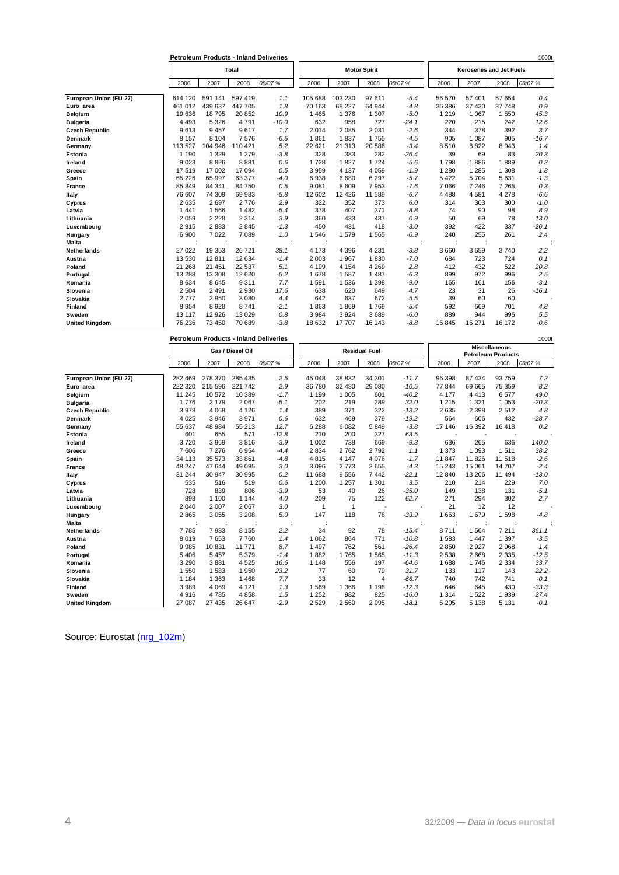|                        | <b>Petroleum Products - Inland Deliveries</b> |         |         |         |         |         |                     |         | 10001                          |         |         |         |  |  |
|------------------------|-----------------------------------------------|---------|---------|---------|---------|---------|---------------------|---------|--------------------------------|---------|---------|---------|--|--|
|                        | Total                                         |         |         |         |         |         | <b>Motor Spirit</b> |         | <b>Kerosenes and Jet Fuels</b> |         |         |         |  |  |
|                        | 2006                                          | 2007    | 2008    | 08/07 % | 2006    | 2007    | 2008                | 08/07%  | 2006                           | 2007    | 2008    | 08/07 % |  |  |
| European Union (EU-27) | 614 120                                       | 591 141 | 597 419 | 1.1     | 105 688 | 103 230 | 97 611              | $-5.4$  | 56 570                         | 57 401  | 57 654  | 0.4     |  |  |
| Euro area              | 461 012                                       | 439 637 | 447 705 | 1.8     | 70 163  | 68 227  | 64 944              | $-4.8$  | 36 386                         | 37 430  | 37 748  | 0.9     |  |  |
| Belgium                | 19636                                         | 18795   | 20 852  | 10.9    | 1 4 6 5 | 1 3 7 6 | 1 307               | $-5.0$  | 1 2 1 9                        | 1 0 6 7 | 1 5 5 0 | 45.3    |  |  |
| <b>Bulgaria</b>        | 4 4 9 3                                       | 5 3 2 6 | 4791    | $-10.0$ | 632     | 958     | 727                 | $-24.1$ | 220                            | 215     | 242     | 12.6    |  |  |
| <b>Czech Republic</b>  | 9613                                          | 9 4 5 7 | 9617    | 1.7     | 2014    | 2 0 8 5 | 2 0 3 1             | $-2.6$  | 344                            | 378     | 392     | 3.7     |  |  |
| <b>Denmark</b>         | 8 1 5 7                                       | 8 1 0 4 | 7576    | $-6.5$  | 1861    | 1837    | 1755                | $-4.5$  | 905                            | 1 0 8 7 | 905     | $-16.7$ |  |  |
| Germany                | 113 527                                       | 104 946 | 110 421 | 5.2     | 22 621  | 21 313  | 20 586              | $-3.4$  | 8510                           | 8822    | 8 9 4 3 | 1.4     |  |  |
| Estonia                | 1 1 9 0                                       | 1 3 2 9 | 1 2 7 9 | $-3.8$  | 328     | 383     | 282                 | $-26.4$ | 39                             | 69      | 83      | 20.3    |  |  |
| Ireland                | 9023                                          | 8826    | 8881    | 0.6     | 1728    | 1827    | 1724                | $-5.6$  | 1798                           | 1886    | 1889    | 0.2     |  |  |
| Greece                 | 17519                                         | 17 002  | 17 094  | 0.5     | 3 9 5 9 | 4 1 3 7 | 4 0 5 9             | $-1.9$  | 1 2 8 0                        | 1 2 8 5 | 1 308   | 1.8     |  |  |
| Spain                  | 65 226                                        | 65 997  | 63 377  | $-4.0$  | 6938    | 6 6 8 0 | 6 2 9 7             | $-5.7$  | 5422                           | 5704    | 5 6 3 1 | $-1.3$  |  |  |
| France                 | 85 849                                        | 84 341  | 84 750  | 0.5     | 9 0 8 1 | 8 6 0 9 | 7953                | $-7.6$  | 7066                           | 7 2 4 6 | 7 2 6 5 | 0.3     |  |  |
| Italy                  | 76 607                                        | 74 309  | 69 983  | $-5.8$  | 12 602  | 12 4 26 | 11 589              | $-6.7$  | 4488                           | 4581    | 4 2 7 8 | $-6.6$  |  |  |
| <b>Cyprus</b>          | 2635                                          | 2697    | 2776    | 2.9     | 322     | 352     | 373                 | 6.0     | 314                            | 303     | 300     | $-1.0$  |  |  |
| Latvia                 | 1441                                          | 1566    | 1482    | $-5.4$  | 378     | 407     | 371                 | $-8.8$  | 74                             | 90      | 98      | 8.9     |  |  |
| Lithuania              | 2059                                          | 2 2 2 8 | 2 3 1 4 | 3.9     | 360     | 433     | 437                 | 0.9     | 50                             | 69      | 78      | 13.0    |  |  |
| Luxembourg             | 2915                                          | 2883    | 2845    | $-1.3$  | 450     | 431     | 418                 | $-3.0$  | 392                            | 422     | 337     | $-20.1$ |  |  |
| Hungary                | 6 9 0 0                                       | 7 0 2 2 | 7 0 8 9 | 1.0     | 1546    | 1579    | 1 5 6 5             | $-0.9$  | 240                            | 255     | 261     | 2.4     |  |  |
| <b>Malta</b>           |                                               |         |         |         |         |         |                     |         |                                |         |         |         |  |  |
| Netherlands            | 27 0 22                                       | 19 353  | 26 721  | 38.1    | 4 1 7 3 | 4 3 9 6 | 4 2 3 1             | $-3.8$  | 3 6 6 0                        | 3659    | 3740    | 2.2     |  |  |
| Austria                | 13 5 30                                       | 12811   | 12 634  | $-1.4$  | 2 0 0 3 | 1 9 6 7 | 1830                | $-7.0$  | 684                            | 723     | 724     | 0.1     |  |  |
| Poland                 | 21 268                                        | 21 451  | 22 5 37 | 5.1     | 4 1 9 9 | 4 1 5 4 | 4 2 6 9             | 2.8     | 412                            | 432     | 522     | 20.8    |  |  |
| Portugal               | 13 28 8                                       | 13 308  | 12 6 20 | $-5.2$  | 1678    | 1587    | 1 4 8 7             | $-6.3$  | 899                            | 972     | 996     | 2.5     |  |  |
| Romania                | 8634                                          | 8645    | 9 3 1 1 | 7.7     | 1 5 9 1 | 1536    | 1 3 9 8             | $-9.0$  | 165                            | 161     | 156     | $-3.1$  |  |  |
| Slovenia               | 2 5 0 4                                       | 2 4 9 1 | 2 9 3 0 | 17.6    | 638     | 620     | 649                 | 4.7     | 23                             | 31      | 26      | $-16.1$ |  |  |
| Slovakia               | 2777                                          | 2950    | 3 0 8 0 | 4.4     | 642     | 637     | 672                 | 5.5     | 39                             | 60      | 60      |         |  |  |
| Finland                | 8 9 5 4                                       | 8928    | 8741    | $-2.1$  | 1863    | 1869    | 1769                | $-5.4$  | 592                            | 669     | 701     | 4.8     |  |  |
| Sweden                 | 13 117                                        | 12 9 26 | 13 0 29 | 0.8     | 3 9 8 4 | 3 9 2 4 | 3689                | $-6.0$  | 889                            | 944     | 996     | 5.5     |  |  |
| <b>United Kingdom</b>  | 76 236                                        | 73 450  | 70 689  | $-3.8$  | 18 632  | 17 707  | 16 143              | $-8.8$  | 16 845                         | 16 271  | 16 172  | $-0.6$  |  |  |

|                        |         |                  |         | <b>Petroleum Products - Inland Deliveries</b> |         |              |                          |         |                                                   |         |         | 10001   |  |
|------------------------|---------|------------------|---------|-----------------------------------------------|---------|--------------|--------------------------|---------|---------------------------------------------------|---------|---------|---------|--|
|                        |         | Gas / Diesel Oil |         |                                               |         |              | <b>Residual Fuel</b>     |         | <b>Miscellaneous</b><br><b>Petroleum Products</b> |         |         |         |  |
|                        | 2006    | 2007             | 2008    | 08/07 %                                       | 2006    | 2007         | 2008                     | 08/07 % | 2006                                              | 2007    | 2008    | 08/07 % |  |
| European Union (EU-27) | 282 469 | 278 370          | 285 435 | 2.5                                           | 45 048  | 38 832       | 34 301                   | $-11.7$ | 96 398                                            | 87 434  | 93 759  | 7.2     |  |
| Euro area              | 222 320 | 215 596          | 221 742 | 2.9                                           | 36 780  | 32 480       | 29 080                   | $-10.5$ | 77844                                             | 69 665  | 75 359  | 8.2     |  |
| <b>Belgium</b>         | 11 245  | 10572            | 10 389  | $-1.7$                                        | 1 1 9 9 | 1 0 0 5      | 601                      | $-40.2$ | 4 1 7 7                                           | 4413    | 6577    | 49.0    |  |
| <b>Bulgaria</b>        | 1776    | 2 1 7 9          | 2 0 6 7 | $-5.1$                                        | 202     | 219          | 289                      | 32.0    | 1 2 1 5                                           | 1 3 2 1 | 1 0 5 3 | $-20.3$ |  |
| <b>Czech Republic</b>  | 3978    | 4 0 6 8          | 4 1 2 6 | 1.4                                           | 389     | 371          | 322                      | $-13.2$ | 2635                                              | 2 3 9 8 | 2512    | 4.8     |  |
| <b>Denmark</b>         | 4 0 2 5 | 3946             | 3971    | 0.6                                           | 632     | 469          | 379                      | $-19.2$ | 564                                               | 606     | 432     | $-28.7$ |  |
| Germany                | 55 637  | 48 984           | 55 213  | 12.7                                          | 6 2 8 8 | 6 0 8 2      | 5849                     | $-3.8$  | 17 146                                            | 16 392  | 16 4 18 | 0.2     |  |
| <b>Estonia</b>         | 601     | 655              | 571     | $-12.8$                                       | 210     | 200          | 327                      | 63.5    |                                                   |         |         |         |  |
| Ireland                | 3720    | 3969             | 3816    | $-3.9$                                        | 1 0 0 2 | 738          | 669                      | $-9.3$  | 636                                               | 265     | 636     | 140.0   |  |
| Greece                 | 7606    | 7 2 7 6          | 6954    | $-4.4$                                        | 2 8 3 4 | 2762         | 2792                     | 1.1     | 1 3 7 3                                           | 1 0 9 3 | 1511    | 38.2    |  |
| Spain                  | 34 113  | 35 573           | 33 861  | $-4.8$                                        | 4815    | 4 1 4 7      | 4 0 7 6                  | $-1.7$  | 11 847                                            | 11826   | 11 518  | $-2.6$  |  |
| <b>France</b>          | 48 247  | 47 644           | 49 0 95 | 3.0                                           | 3 0 9 6 | 2 7 7 3      | 2655                     | $-4.3$  | 15 2 43                                           | 15 061  | 14 707  | $-2.4$  |  |
| Italy                  | 31 244  | 30 947           | 30 995  | 0.2                                           | 11 688  | 9556         | 7 4 4 2                  | $-22.1$ | 12 840                                            | 13 206  | 11 494  | $-13.0$ |  |
| Cyprus                 | 535     | 516              | 519     | 0.6                                           | 1 200   | 1 2 5 7      | 1 3 0 1                  | 3.5     | 210                                               | 214     | 229     | 7.0     |  |
| Latvia                 | 728     | 839              | 806     | $-3.9$                                        | 53      | 40           | 26                       | $-35.0$ | 149                                               | 138     | 131     | $-5.1$  |  |
| Lithuania              | 898     | 1 100            | 1 1 4 4 | 4.0                                           | 209     | 75           | 122                      | 62.7    | 271                                               | 294     | 302     | 2.7     |  |
| Luxembourg             | 2 0 4 0 | 2 0 0 7          | 2 0 6 7 | 3.0                                           |         | $\mathbf{1}$ | $\overline{\phantom{a}}$ |         | 21                                                | 12      | 12      |         |  |
| <b>Hungary</b>         | 2865    | 3 0 5 5          | 3 2 0 8 | 5.0                                           | 147     | 118          | 78                       | $-33.9$ | 1663                                              | 1679    | 1598    | $-4.8$  |  |
| <b>Malta</b>           |         |                  |         |                                               |         |              |                          |         |                                                   |         |         |         |  |
| <b>Netherlands</b>     | 7785    | 7983             | 8 1 5 5 | 2.2                                           | 34      | 92           | 78                       | $-15.4$ | 8711                                              | 1564    | 7 2 1 1 | 361.1   |  |
| <b>Austria</b>         | 8019    | 7653             | 7760    | 1.4                                           | 1 0 6 2 | 864          | 771                      | $-10.8$ | 1583                                              | 1 4 4 7 | 1 3 9 7 | $-3.5$  |  |
| Poland                 | 9985    | 10831            | 11771   | 8.7                                           | 1 4 9 7 | 762          | 561                      | $-26.4$ | 2850                                              | 2927    | 2 9 6 8 | 1.4     |  |
| Portugal               | 5406    | 5 4 5 7          | 5 3 7 9 | $-1.4$                                        | 1882    | 1765         | 1565                     | $-11.3$ | 2538                                              | 2 6 6 8 | 2 3 3 5 | $-12.5$ |  |
| Romania                | 3 2 9 0 | 3881             | 4525    | 16.6                                          | 1 1 4 8 | 556          | 197                      | $-64.6$ | 1688                                              | 1746    | 2 3 3 4 | 33.7    |  |
| Slovenia               | 1550    | 1583             | 1950    | 23.2                                          | 77      | 60           | 79                       | 31.7    | 133                                               | 117     | 143     | 22.2    |  |
| Slovakia               | 1 1 8 4 | 1 3 6 3          | 1468    | 7.7                                           | 33      | 12           | $\overline{4}$           | $-66.7$ | 740                                               | 742     | 741     | $-0.1$  |  |
| Finland                | 3989    | 4 0 6 9          | 4 1 2 1 | 1.3                                           | 1569    | 1 3 6 6      | 1 1 9 8                  | $-12.3$ | 646                                               | 645     | 430     | $-33.3$ |  |
| Sweden                 | 4916    | 4785             | 4858    | 1.5                                           | 1 2 5 2 | 982          | 825                      | $-16.0$ | 1 3 1 4                                           | 1522    | 1939    | 27.4    |  |
| <b>United Kingdom</b>  | 27 087  | 27 435           | 26 647  | $-2.9$                                        | 2 5 2 9 | 2 5 6 0      | 2 0 9 5                  | $-18.1$ | 6 205                                             | 5 1 3 8 | 5 1 3 1 | $-0.1$  |  |

Source: Eurostat (nrg 102m)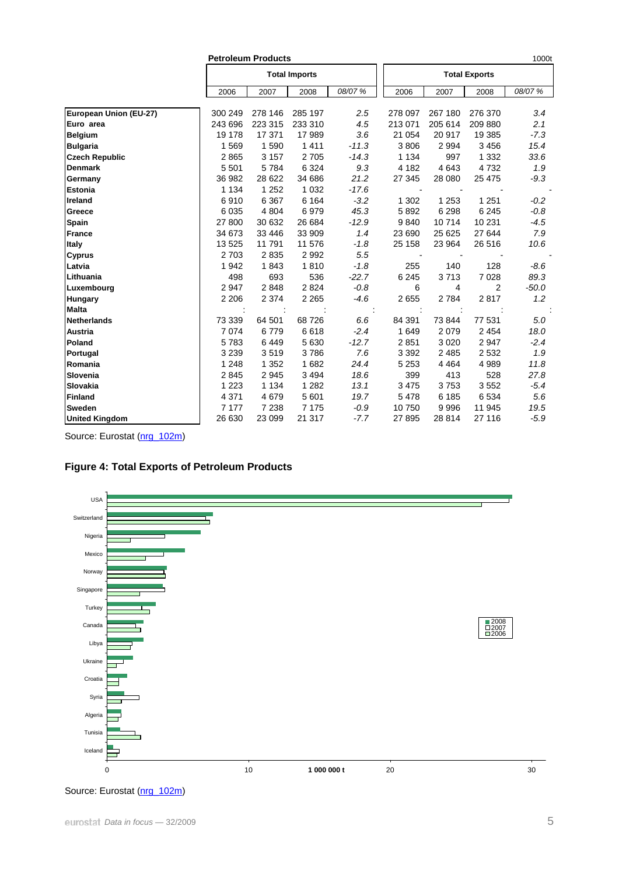|                        |         | <b>Petroleum Products</b> |                      |         |                      |         |          | 1000t   |  |  |  |
|------------------------|---------|---------------------------|----------------------|---------|----------------------|---------|----------|---------|--|--|--|
|                        |         |                           | <b>Total Imports</b> |         | <b>Total Exports</b> |         |          |         |  |  |  |
|                        | 2006    | 2007                      | 2008                 | 08/07 % | 2006                 | 2007    | 2008     | 08/07 % |  |  |  |
| European Union (EU-27) | 300 249 | 278 146                   | 285 197              | 2.5     | 278 097              | 267 180 | 276 370  | 3.4     |  |  |  |
| Euro area              | 243 696 | 223 315                   | 233 310              | 4.5     | 213 071              | 205 614 | 209 880  | 2.1     |  |  |  |
| <b>Belgium</b>         | 19 178  | 17 371                    | 17 989               | 3.6     | 21 0 54              | 20 917  | 19 385   | $-7.3$  |  |  |  |
| <b>Bulgaria</b>        | 1 5 6 9 | 1590                      | 1411                 | $-11.3$ | 3806                 | 2 9 9 4 | 3 4 5 6  | 15.4    |  |  |  |
| <b>Czech Republic</b>  | 2865    | 3 1 5 7                   | 2705                 | $-14.3$ | 1 1 3 4              | 997     | 1 3 3 2  | 33.6    |  |  |  |
| <b>Denmark</b>         | 5 5 0 1 | 5784                      | 6 3 2 4              | 9.3     | 4 1 8 2              | 4 6 4 3 | 4732     | 1.9     |  |  |  |
| Germany                | 36 982  | 28 622                    | 34 686               | 21.2    | 27 345               | 28 080  | 25 4 7 5 | $-9.3$  |  |  |  |
| <b>Estonia</b>         | 1 1 3 4 | 1 2 5 2                   | 1 0 3 2              | $-17.6$ |                      |         |          |         |  |  |  |
| Ireland                | 6910    | 6 3 6 7                   | 6 1 6 4              | $-3.2$  | 1 302                | 1 2 5 3 | 1 2 5 1  | $-0.2$  |  |  |  |
| Greece                 | 6 0 3 5 | 4 8 0 4                   | 6979                 | 45.3    | 5892                 | 6 2 9 8 | 6 2 4 5  | $-0.8$  |  |  |  |
| <b>Spain</b>           | 27 800  | 30 632                    | 26 684               | $-12.9$ | 9840                 | 10714   | 10 231   | $-4.5$  |  |  |  |
| <b>France</b>          | 34 673  | 33 4 46                   | 33 909               | 1.4     | 23 690               | 25 6 25 | 27 644   | 7.9     |  |  |  |
| Italy                  | 13 5 25 | 11 791                    | 11 576               | $-1.8$  | 25 158               | 23 964  | 26 516   | 10.6    |  |  |  |
| <b>Cyprus</b>          | 2 7 0 3 | 2835                      | 2992                 | 5.5     |                      |         |          |         |  |  |  |
| Latvia                 | 1942    | 1843                      | 1810                 | $-1.8$  | 255                  | 140     | 128      | -8.6    |  |  |  |
| Lithuania              | 498     | 693                       | 536                  | $-22.7$ | 6 2 4 5              | 3713    | 7028     | 89.3    |  |  |  |
| Luxembourg             | 2 9 4 7 | 2848                      | 2824                 | $-0.8$  | 6                    | 4       | 2        | $-50.0$ |  |  |  |
| <b>Hungary</b>         | 2 2 0 6 | 2 3 7 4                   | 2 2 6 5              | $-4.6$  | 2655                 | 2784    | 2817     | 1.2     |  |  |  |
| <b>Malta</b>           |         |                           |                      |         |                      |         |          |         |  |  |  |
| Netherlands            | 73 339  | 64 501                    | 68726                | 6.6     | 84 391               | 73 844  | 77 531   | 5.0     |  |  |  |
| <b>Austria</b>         | 7 0 7 4 | 6779                      | 6618                 | $-2.4$  | 1649                 | 2079    | 2 4 5 4  | 18.0    |  |  |  |
| Poland                 | 5783    | 6449                      | 5 6 3 0              | $-12.7$ | 2851                 | 3 0 2 0 | 2947     | $-2.4$  |  |  |  |
| Portugal               | 3 2 3 9 | 3519                      | 3786                 | 7.6     | 3 3 9 2              | 2 4 8 5 | 2 5 3 2  | 1.9     |  |  |  |
| Romania                | 1 2 4 8 | 1 3 5 2                   | 1682                 | 24.4    | 5 2 5 3              | 4 4 6 4 | 4 9 8 9  | 11.8    |  |  |  |
| Slovenia               | 2845    | 2 9 4 5                   | 3 4 9 4              | 18.6    | 399                  | 413     | 528      | 27.8    |  |  |  |
| Slovakia               | 1 2 2 3 | 1 1 3 4                   | 1 2 8 2              | 13.1    | 3 4 7 5              | 3753    | 3552     | $-5.4$  |  |  |  |
| <b>Finland</b>         | 4 3 7 1 | 4 6 7 9                   | 5 601                | 19.7    | 5478                 | 6 185   | 6534     | 5.6     |  |  |  |
| <b>Sweden</b>          | 7 177   | 7 2 3 8                   | 7 1 7 5              | $-0.9$  | 10750                | 9996    | 11 945   | 19.5    |  |  |  |
| <b>United Kingdom</b>  | 26 630  | 23 099                    | 21 317               | $-7.7$  | 27 895               | 28 814  | 27 116   | $-5.9$  |  |  |  |

Source: Eurostat ([nrg\\_102m](http://nui.epp.eurostat.ec.europa.eu/nui/show.do?dataset=nrg_102m&lang=en))

# **Figure 4: Total Exports of Petroleum Products**



Source: Eurostat ([nrg\\_102m](http://nui.epp.eurostat.ec.europa.eu/nui/show.do?dataset=nrg_102m&lang=en))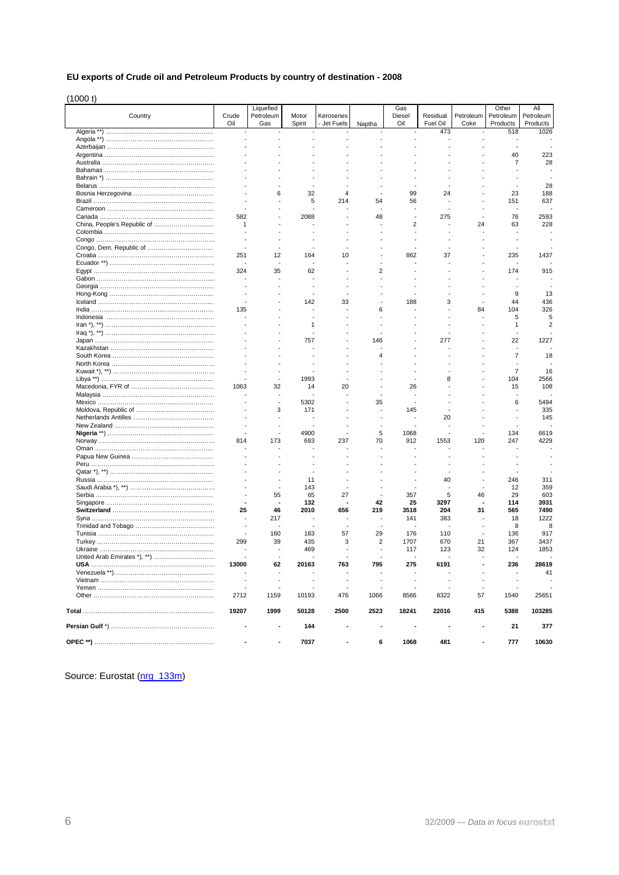### **EU exports of Crude oil and Petroleum Products by country of destination - 2008**

(1000 t)

|                             |       | Liquefied |        |             |                | Gas            |                 |           | Other           | Αll              |
|-----------------------------|-------|-----------|--------|-------------|----------------|----------------|-----------------|-----------|-----------------|------------------|
| Country                     | Crude | Petroleum | Motor  | Kerosenes   |                | Diesel         | Residual        | Petroleum | Petroleum       | Petroleum        |
|                             | Oil   | Gas       | Spirit | - Jet Fuels | Naptha         | Oil            | Fuel Oil<br>473 | Coke      | Products<br>518 | Products<br>1026 |
|                             |       |           |        |             |                |                |                 |           |                 |                  |
|                             |       |           |        |             |                |                |                 |           |                 |                  |
|                             |       |           |        |             |                |                |                 |           | 40              | 223              |
|                             |       |           |        |             |                |                |                 |           | $\overline{7}$  | 28               |
|                             |       |           |        |             |                |                |                 |           |                 |                  |
|                             |       |           |        |             |                |                |                 |           |                 |                  |
|                             |       |           |        |             |                |                |                 |           |                 | 28               |
|                             |       | 6         | 32     | 4           |                | 99             | 24              |           | 23              | 188              |
|                             |       |           | 5      | 214         | 54             | 56             |                 |           | 151             | 637              |
|                             |       |           |        |             |                |                |                 |           |                 |                  |
|                             | 582   |           | 2088   |             | 48             | $\overline{a}$ | 275             |           | 76              | 2593             |
| China, People's Republic of | 1     |           |        |             |                | $\overline{2}$ |                 | 24        | 63              | 228              |
|                             |       |           |        |             |                |                |                 |           |                 |                  |
|                             |       |           |        |             |                |                |                 |           |                 |                  |
|                             |       |           |        |             |                |                |                 |           |                 |                  |
|                             | 251   | 12        | 164    | 10          |                | 862            | 37              |           | 235             | 1437             |
|                             |       |           |        |             |                |                |                 |           |                 |                  |
|                             | 324   | 35        | 62     |             | $\overline{2}$ |                |                 |           | 174             | 915              |
|                             |       |           |        |             |                |                |                 |           |                 |                  |
|                             |       |           |        |             |                |                |                 |           |                 |                  |
|                             |       |           |        |             |                |                |                 |           | 9               | 13               |
|                             |       |           | 142    | 33          |                | 188            | 3               |           | 44              | 436              |
|                             | 135   |           |        |             | 6              |                |                 | 84        | 104             | 326              |
|                             |       |           |        |             |                |                |                 |           | 5               | 5                |
|                             |       |           | 1      |             |                |                |                 |           | 1               | 2                |
|                             |       |           |        |             |                |                |                 |           | ÷               |                  |
|                             |       |           | 757    |             | 146            |                | 277             |           | 22              | 1227             |
|                             |       |           |        |             |                |                |                 |           |                 |                  |
|                             |       |           |        |             | 4              |                |                 |           | $\overline{7}$  | 18               |
|                             |       |           |        |             |                |                |                 |           | $\overline{7}$  |                  |
|                             |       |           | 1993   |             |                |                | 8               |           | 104             | 16<br>2566       |
|                             | 1063  |           |        | 20          |                | 26             |                 |           |                 | 108              |
|                             |       | 32        | 14     |             |                |                |                 |           | 15              |                  |
|                             |       |           | 5302   |             | 35             |                |                 |           | 6               | 5494             |
|                             |       | 3         | 171    |             |                | 145            |                 |           |                 | 335              |
|                             |       |           |        |             |                |                | 20              |           |                 | 145              |
|                             |       |           |        |             |                |                |                 |           |                 |                  |
|                             |       |           | 4900   |             | 5              | 1068           |                 |           | 134             | 6619             |
|                             | 814   | 173       | 693    | 237         | 70             | 912            | 1553            | 120       | 247             | 4229             |
|                             |       |           |        |             |                |                |                 |           |                 |                  |
|                             |       |           |        |             |                |                |                 |           |                 |                  |
|                             |       |           |        |             |                |                |                 |           |                 |                  |
|                             |       |           |        |             |                |                |                 |           |                 |                  |
|                             |       |           | 11     |             |                |                | 40              |           | 246             | 311              |
|                             |       |           | 143    |             |                |                |                 |           | 12              | 359              |
|                             |       | 55        | 65     | 27          |                | 357            | 5               | 46        | 29              | 603              |
|                             |       |           | 132    |             | 42             | 25             | 3297            |           | 114             | 3931             |
|                             | 25    | 46        | 2010   | 656         | 219            | 3518           | 204             | 31        | 565             | 7490             |
|                             |       | 217       |        |             |                | 141            | 383             |           | 18              | 1222             |
|                             |       |           |        |             |                |                |                 |           | 8               | 8                |
|                             |       | 160       | 183    | 57          | 29             | 176            | 110             |           | 136             | 917              |
|                             | 299   | 39        | 435    | 3           | $\overline{2}$ | 1707           | 670             | 21        | 367             | 3437             |
|                             |       |           | 469    |             |                | 117            | 123             | 32        | 124             | 1853             |
|                             |       |           |        |             |                |                |                 |           |                 |                  |
|                             | 13000 | 62        | 20163  | 763         | 795            | 275            | 6191            |           | 236             | 28619            |
|                             |       |           |        |             |                |                |                 |           |                 | 41               |
|                             |       |           |        |             |                |                |                 |           |                 |                  |
|                             |       |           |        |             |                |                |                 |           |                 |                  |
|                             | 2712  | 1159      | 10193  | 476         | 1066           | 8566           | 8322            | 57        | 1540            | 25651            |
|                             | 19207 | 1999      | 50128  | 2500        | 2523           | 18241          | 22016           | 415       | 5388            | 103285           |
|                             |       |           |        |             |                |                |                 |           |                 |                  |
|                             |       |           | 144    |             |                |                |                 |           | 21              | 377              |
|                             |       |           | 7037   |             | 6              | 1068           | 481             |           | 777             | 10630            |

Source: Eurostat (nrg 133m)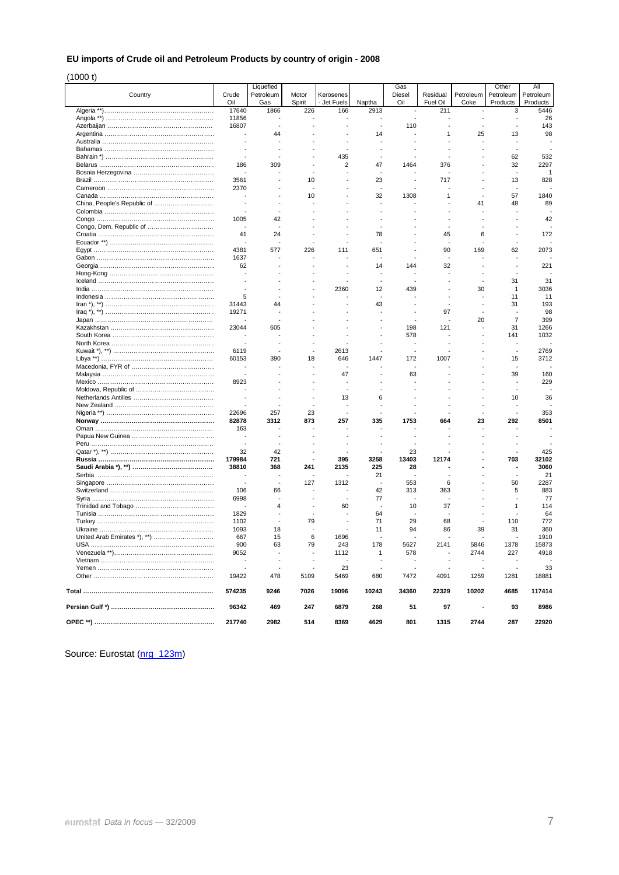### **EU imports of Crude oil and Petroleum Products by country of origin - 2008**

(1000 t)

|         |                          | Liquefied   |                |                          |                | Gas                      |                 |           | Other                    | All              |
|---------|--------------------------|-------------|----------------|--------------------------|----------------|--------------------------|-----------------|-----------|--------------------------|------------------|
| Country | Crude                    | Petroleum   | Motor          | Kerosenes                |                | Diesel<br>Oil            | Residual        | Petroleum | Petroleum                | Petroleum        |
|         | Oil<br>17640             | Gas<br>1866 | Spirit<br>226  | - Jet Fuels<br>166       | Naptha<br>2913 | $\blacksquare$           | Fuel Oil<br>211 | Coke      | Products<br>3            | Products<br>5446 |
|         | 11856                    |             |                |                          |                |                          |                 |           |                          | 26               |
|         | 16807                    | $\sim$      |                |                          | ÷,             | 110                      |                 |           |                          | 143              |
|         |                          | 44          |                |                          | 14             |                          | 1               | 25        | 13                       | 98               |
|         | ٠.                       |             |                |                          |                |                          |                 |           | $\overline{\phantom{a}}$ |                  |
|         |                          |             |                | $\overline{\phantom{a}}$ |                |                          |                 |           | ÷                        |                  |
|         |                          |             |                | 435                      |                |                          |                 |           | 62                       | 532              |
|         | 186                      | 309         |                | 2                        | 47             | 1464                     | 376             |           | 32                       | 2297             |
|         | $\overline{\phantom{a}}$ |             |                | ٠                        | ٠              |                          |                 |           | $\overline{\phantom{a}}$ | -1               |
|         | 3561                     |             | 10             | $\overline{a}$           | 23             |                          | 717             |           | 13                       | 828              |
|         | 2370                     |             |                |                          |                |                          |                 |           |                          |                  |
|         |                          |             | 10             |                          | 32             | 1308                     | 1               |           | 57                       | 1840             |
|         |                          |             |                |                          |                |                          |                 | 41        | 48                       | 89               |
|         |                          |             |                |                          |                |                          |                 |           |                          |                  |
|         | 1005                     | 42          |                |                          |                |                          |                 |           |                          | 42               |
|         |                          |             |                |                          |                |                          |                 |           |                          |                  |
|         | 41                       | 24          |                |                          | 78             |                          | 45              | 6         |                          | 172              |
|         |                          |             |                |                          |                |                          |                 |           |                          |                  |
|         | 4381                     | 577         | 226            | 111                      | 651            |                          | 90              | 169       | 62                       | 2073             |
|         | 1637                     |             |                |                          |                |                          |                 |           |                          |                  |
|         | 62                       |             |                |                          | 14             | 144                      |                 |           |                          | 221              |
|         |                          |             |                |                          |                |                          | 32              |           |                          |                  |
|         |                          |             |                |                          |                |                          |                 |           | 31                       | 31               |
|         |                          |             |                | 2360                     | 12             | 439                      |                 | 30        | 1                        | 3036             |
|         | 5                        |             |                |                          | ÷,             |                          |                 |           | 11                       |                  |
|         |                          | 44          |                |                          |                |                          |                 |           | 31                       | 11               |
|         | 31443                    |             |                |                          | 43             |                          | 97              |           |                          | 193              |
|         | 19271                    |             |                |                          |                |                          |                 |           | $\overline{7}$           | 98               |
|         |                          |             |                |                          |                |                          |                 | 20        |                          | 399              |
|         | 23044                    | 605         |                |                          |                | 198                      | 121             |           | 31                       | 1266             |
|         |                          |             |                |                          |                | 578                      |                 |           | 141                      | 1032             |
|         |                          |             |                |                          |                |                          |                 |           |                          |                  |
|         | 6119                     |             |                | 2613                     |                |                          |                 |           | ÷,                       | 2769             |
|         | 60153                    | 390         | 18             | 646                      | 1447           | 172<br>÷,                | 1007            |           | 15                       | 3712             |
|         | $\overline{a}$           |             |                |                          |                |                          |                 |           |                          |                  |
|         |                          |             |                | 47                       |                | 63                       |                 |           | 39                       | 160              |
|         | 8923                     |             |                |                          |                |                          |                 |           | ÷,<br>$\overline{a}$     | 229              |
|         |                          |             |                | ÷,                       |                |                          |                 |           |                          |                  |
|         |                          |             |                | 13                       | 6              |                          |                 |           | 10                       | 36               |
|         |                          |             |                | ÷,                       |                |                          |                 |           | $\overline{a}$           |                  |
|         | 22696                    | 257         | 23             | ÷,                       |                |                          |                 |           |                          | 353              |
|         | 82878                    | 3312        | 873            | 257                      | 335            | 1753                     | 664             | 23        | 292                      | 8501             |
|         | 163                      |             |                |                          |                |                          |                 |           |                          |                  |
|         |                          |             |                | ÷,                       |                |                          |                 |           |                          |                  |
|         |                          |             |                |                          |                |                          |                 |           |                          |                  |
|         | 32                       | 42          |                |                          |                | 23                       |                 |           |                          | 425              |
|         | 179984                   | 721         |                | 395                      | 3258           | 13403                    | 12174           |           | 703                      | 32102            |
|         | 38810                    | 368         | 241            | 2135                     | 225            | 28                       |                 |           | ٠                        | 3060             |
|         |                          |             |                |                          | 21             |                          |                 |           | ÷                        | 21               |
|         | $\overline{\phantom{a}}$ | $\sim$      | 127            | 1312                     |                | 553                      | 6               |           | 50                       | 2287             |
|         | 106                      | 66          |                | $\overline{\phantom{a}}$ | 42             | 313                      | 363             |           | 5                        | 883              |
|         | 6998                     |             |                | ÷,                       | 77             |                          |                 |           | ÷                        | 77               |
|         |                          | 4           |                | 60                       |                | 10                       | 37              |           | 1                        | 114              |
|         | 1829                     |             |                | $\overline{\phantom{a}}$ | 64             |                          |                 |           |                          | 64               |
|         | 1102                     |             | 79             | $\overline{\phantom{a}}$ | 71             | 29                       | 68              |           | 110                      | 772              |
|         | 1093                     | 18          |                |                          | 11             | 94                       | 86              | 39        | 31                       | 360              |
|         | 667                      | 15          | 6              | 1696                     |                |                          |                 |           |                          | 1910             |
|         | 900                      | 63          | 79             | 243                      | 178            | 5627                     | 2141            | 5846      | 1378                     | 15873            |
|         | 9052                     |             |                | 1112                     | 1              | 578                      |                 | 2744      | 227                      | 4918             |
|         | $\overline{\phantom{a}}$ |             |                |                          |                |                          |                 |           |                          |                  |
|         | $\overline{\phantom{a}}$ |             | $\blacksquare$ | 23                       |                | $\overline{\phantom{a}}$ |                 |           |                          | 33               |
|         | 19422                    | 478         | 5109           | 5469                     | 680            | 7472                     | 4091            | 1259      | 1281                     | 18881            |
|         | 574235                   | 9246        | 7026           | 19096                    | 10243          | 34360                    | 22329           | 10202     | 4685                     | 117414           |
|         | 96342                    | 469         | 247            | 6879                     | 268            | 51                       | 97              |           | 93                       | 8986             |
|         | 217740                   | 2982        | 514            | 8369                     | 4629           | 801                      | 1315            | 2744      | 287                      | 22920            |

Source: Eurostat ([nrg\\_123m](http://nui.epp.eurostat.ec.europa.eu/nui/show.do?dataset=nrg_123m&lang=en))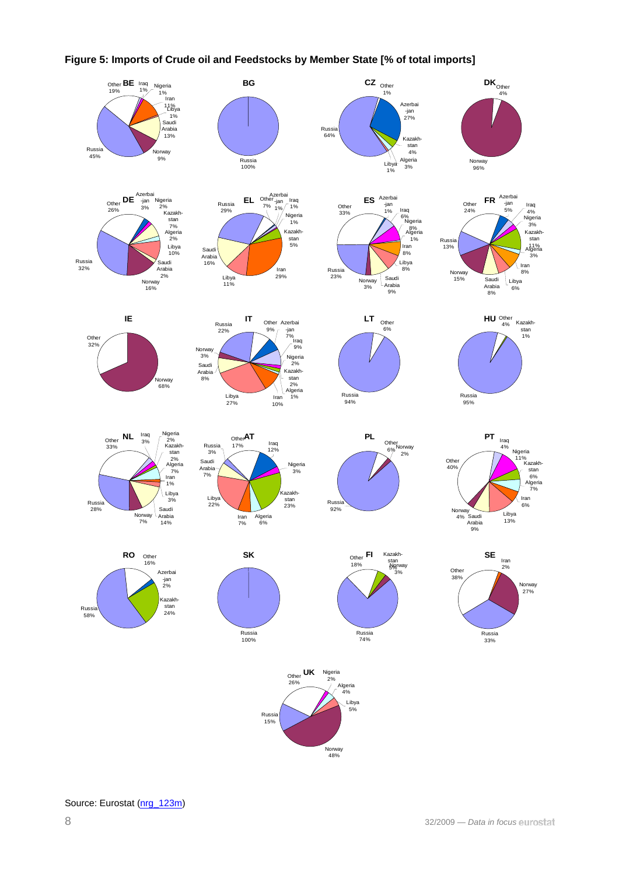

## **Figure 5: Imports of Crude oil and Feedstocks by Member State [% of total imports]**